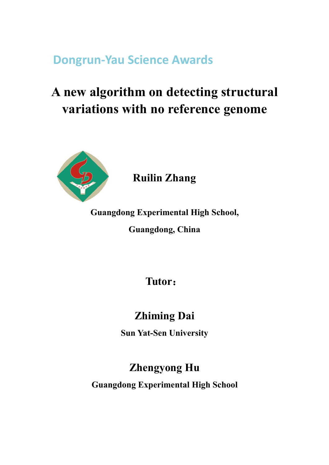**Dongrun-Yau Science Awards**

# **A new algorithm on detecting structural variations with no reference genome**



# **Ruilin Zhang**

**Guangdong Experimental High School,**

**Guangdong, China**

**Tutor**:

# **Zhiming Dai**

**Sun Yat-Sen University**

# **Zhengyong Hu**

**Guangdong Experimental High School**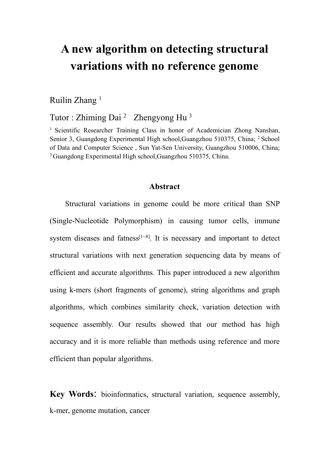# **A new algorithm on detecting structural variations with no reference genome**

Ruilin Zhang 1

Tutor : Zhiming Dai<sup>2</sup> Zhengyong Hu<sup>3</sup> 3

<sup>1</sup> Scientific Researcher Training Class in honor of Academician Zhong Nanshan, Senior 3, Guangdong Experimental High school, Guangzhou 510375, China; <sup>2</sup> School of Data and Computer Science , Sun Yat-Sen University,Guangzhou 510006, China; <sup>3</sup> Guangdong Experimental High school,Guangzhou 510375, China.

### **Abstract**

Structural variations in genome could be more critical than SNP (Single-Nucleotide Polymorphism) in causing tumor cells, immune system diseases and fatness<sup>[1~8]</sup>. It is necessary and important to detect structural variations with next generation sequencing data by means of efficient and accurate algorithms. This paper introduced a new algorithm using k-mers (short fragments of genome), string algorithms and graph algorithms, which combines similarity check, variation detection with sequence assembly. Our results showed that our method has high accuracy and it is more reliable than methods using reference and more efficient than popular algorithms.

**Key Words**: bioinformatics, structural variation, sequence assembly, k-mer, genome mutation, cancer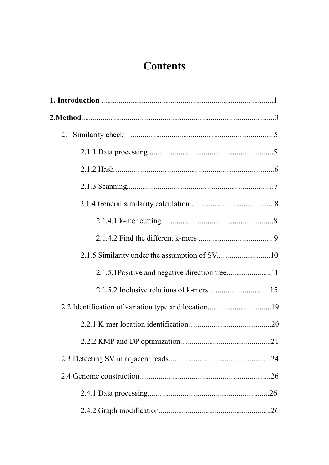# **Contents**

| 2.2 Identification of variation type and location19 |  |
|-----------------------------------------------------|--|
|                                                     |  |
|                                                     |  |
|                                                     |  |
|                                                     |  |
|                                                     |  |
|                                                     |  |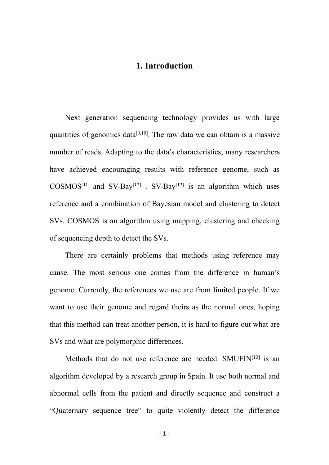# **1. Introduction**

Next generation sequencing technology provides us with large quantities of genomics data<sup>[9,10]</sup>. The raw data we can obtain is a massive number of reads. Adapting to the data's characteristics, many researchers have achieved encouraging results with reference genome, such as COSMOS<sup>[11]</sup> and SV-Bay<sup>[12]</sup> . SV-Bay<sup>[12]</sup> is an algorithm which uses reference and a combination of Bayesian model and clustering to detect SVs. COSMOS is an algorithm using mapping, clustering and checking of sequencing depth to detect the SVs.

There are certainly problems that methods using reference may cause. The most serious one comes from the difference in human's genome. Currently, the references we use are from limited people. If we want to use their genome and regard theirs as the normal ones, hoping that this method can treat another person, it is hard to figure outwhat are SVs and what are polymorphic differences.

Methods that do not use reference are needed. SMUFIN[13] is an algorithm developed by aresearch group in Spain. It use both normal and abnormal cells from the patient and directly sequence and construct a "Quaternary sequence tree" to quite violently detect the difference

**- 1 -**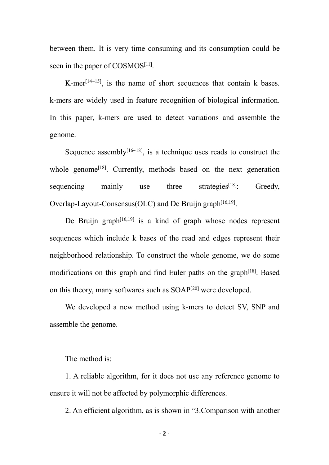between them. It is very time consuming and its consumption could be seen in the paper of COSMOS<sup>[11]</sup>.

K-mer [14~15], is the name of short sequences that contain k bases. k-mers are widely used in feature recognition of biological information. In this paper, k-mers are used to detect variations and assemble the genome.

Sequence assembly  $[16-18]$ , is a technique uses reads to construct the whole genome<sup>[18]</sup>. Currently, methods based on the next generation sequencing mainly use three strategies $[18]$ : Greedy, Overlap-Layout-Consensus(OLC) and De Bruijn graph [16,19].

De Bruijn graph [16,19] is a kind of graph whose nodes represent sequences which include k bases of the read and edges represent their neighborhood relationship. To construct the whole genome, we do some modifications on this graph and find Euler paths on the graph<sup>[18]</sup>. Based on this theory, many softwares such as SOAP [20] were developed.

We developed a new method using k-mers to detect SV, SNP and assemble the genome.<br>The method is:

1. A reliable algorithm, for it does not use any reference genome to ensure it will not be affected by polymorphic differences.

2. An efficient algorithm, as is shown in "3.Comparison with another

**- 2 -**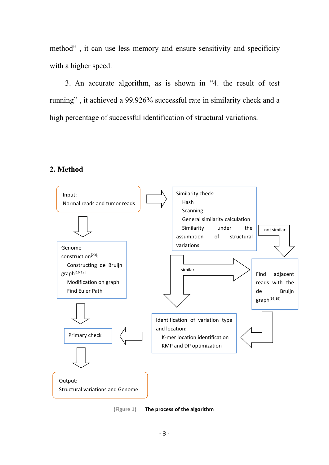method" , it can use less memory and ensure sensitivity and specificity with a higher speed.

3. An accurate algorithm, as is shown in "4. the result of test running" , it achieved a 99.926% successful rate in similarity check and a high percentage of successful identification of structural variations.

# **2. Method**



**(Figure 1) The process of the algorithm**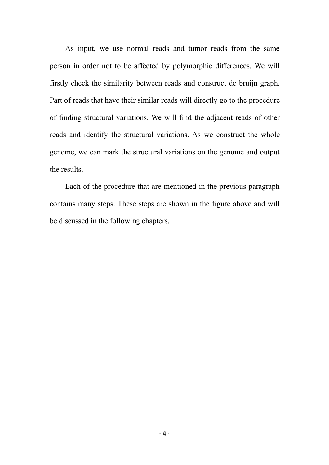As input, we use normal reads and tumor reads from the same person in order not to be affected by polymorphic differences. We will firstly check the similarity between reads and construct de bruijn graph. Part of reads that have their similar reads will directly go to the procedure of finding structural variations. We will find the adjacent reads of other reads and identify the structural variations. As we construct the whole genome, we can mark the structural variations on the genome and output the results.

Each of the procedure that are mentioned in the previous paragraph contains many steps. These steps are shown in the figure above and will be discussed in the following chapters.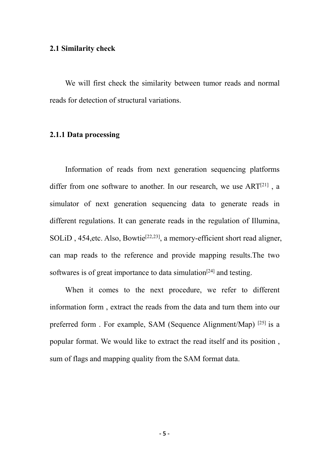#### **2.1 Similarity check**

We will first check the similarity between tumor reads and normal reads for detection of structural variations.

# **2.1.1 Data processing**

Information of reads from next generation sequencing platforms differ from one software to another. In our research, we use ART<sup>[21]</sup>, a simulator of next generation sequencing data to generate reads in different regulations. It can generate reads in the regulation of Illumina, SOLiD, 454, etc. Also, Bowtie<sup>[22,23]</sup>, a memory-efficient short read aligner, can map reads to the reference and provide mapping results.The two softwares is of great importance to data simulation<sup>[24]</sup> and testing.

When it comes to the next procedure, we refer to different information form, extract the reads from the data and turn them into our preferred form. For example, SAM (Sequence Alignment/Map) [25] is a popular format. We would like to extract the read itself and its position , sum of flags and mapping quality from the SAM format data.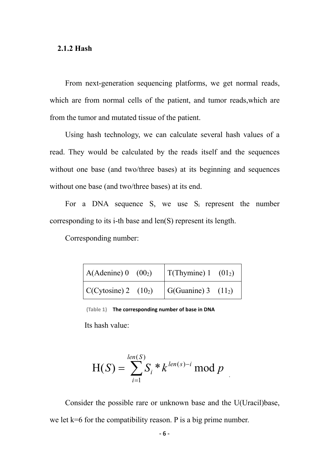#### **2.1.2 Hash**

From next-generation sequencing platforms, we get normal reads, which are from normal cells of the patient, and tumor reads,which are from the tumor and mutated tissue of the patient.

Using hash technology, we can calculate several hash values of a read. They would be calculated by the reads itself and the sequences without one base (and two/three bases) at its beginning and sequences without one base (and two/three bases) at its end.

For a DNA sequence S, we use  $S_i$  represent the number corresponding to its i-th base and len(S) represent its length.

Corresponding number:

| $(A(\text{Adenine}) 0 (00_2))$           | $\vert$ T(Thymine) 1 (01 <sub>2</sub> ) |
|------------------------------------------|-----------------------------------------|
| $\vert$ C(Cytosine) 2 (10 <sub>2</sub> ) | $\vert$ G(Guanine) 3 (11 <sub>2</sub> ) |

**(Table 1) The corresponding number of base in DNA**

Its hash value:

$$
H(S) = \sum_{i=1}^{len(S)} S_i * k^{len(s)-i} \mod p
$$

Consider the possible rare or unknown base and the U(Uracil)base, we let k=6 for the compatibility reason. P is a big prime number.

.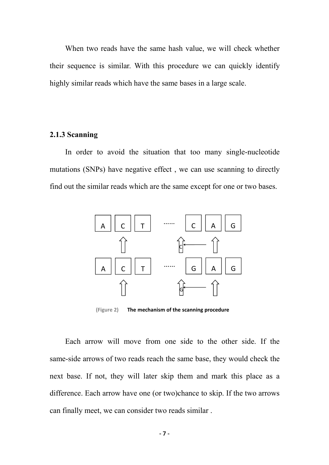When two reads have the same hash value, we will check whether their sequence is similar. With this procedure we can quickly identify highly similar reads which have the same bases in a large scale.

#### **2.1.3 Scanning**

In order to avoid the situation that too many single-nucleotide mutations (SNPs) have negative effect , we can use scanning to directly find out the similar reads which are the same except for one or two bases.



**(Figure 2) The mechanism of the scanning procedure**

Each arrow will move from one side to the other side. If the same-side arrows of two reads reach the same base, they would check the next base. If not, they will later skip them and mark this place as a difference. Each arrow have one (or two)chance to skip. If the two arrows can finally meet, we can consider two reads similar .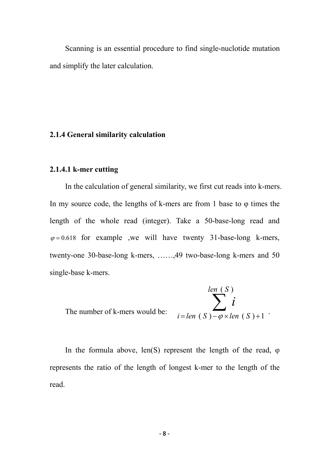Scanning is an essential procedure to find single-nuclotide mutation and simplify the later calculation.

# **2.1.4 General similarity calculation**

### **2.1.4.1 k-mer cutting**

In the calculation of general similarity, we first cut reads into k-mers. In my source code, the lengths of k-mers are from 1 base to  $\varphi$  times the length of the whole read (integer). Take a 50-base-long read and  $\varphi$ =0.618 for example ,we will have twenty 31-base-long k-mers, twenty-one 30-base-long k-mers, ……,49 two-base-long k-mers and 50 single-base k-mers.

The number of k-mers would be:  

$$
i = len(S) - \varphi \times len(S) + 1
$$

In the formula above, len(S) represent the length of the read,  $\varphi$ represents the ratio of the length of longest k-mer to the length of the read.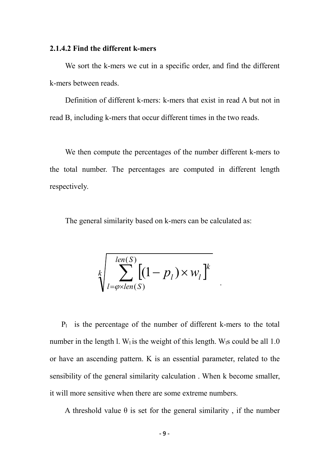#### **2.1.4.2 Find the different k-mers**

We sort the k-mers we cut in a specific order, and find the different k-mers between reads.

Definition of different k-mers: k-mers that exist in read A but not in read B, including k-mers that occur different times in the two reads.

We then compute the percentages of the number different k-mers to the total number. The percentages are computed in different length respectively.

The general similarity based on k-mers can be calculated as:

$$
\sqrt[k]{\sum_{l=\varphi\times len(S)}^{len(S)} [(1-p_l)\times w_l]^k}
$$

.

 $P_1$  is the percentage of the number of different k-mers to the total number in the length l. W<sub>1</sub> is the weight of this length. W<sub>1</sub>s could be all 1.0 or have an ascending pattern. K is an essential parameter, related to the sensibility of the general similarity calculation . When k become smaller, it will more sensitive when there are some extreme numbers.

A threshold value  $\theta$  is set for the general similarity, if the number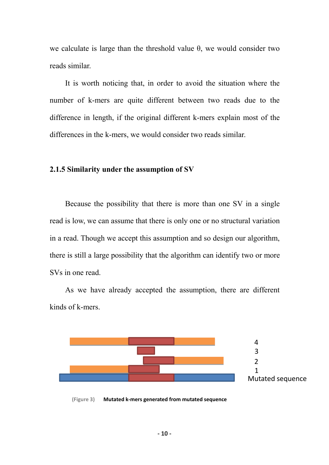we calculate is large than the threshold value  $\theta$ , we would consider two reads similar.

It is worth noticing that, in order to avoid the situation where the number of k-mers are quite different between two reads due to the difference in length, if the original different k-mers explain most of the differences in the k-mers, we would consider two reads similar.

### **2.1.5 Similarity under the assumption of SV**

Because the possibility that there is more than one SV in a single read is low, we can assume that there is only one or no structural variation in a read. Though we accept this assumption and so design our algorithm, there is still a large possibility that the algorithm can identify two or more SVs in one read.

As we have already accepted the assumption, there are different kinds of k-mers.



**(Figure 3) Mutated k-mers generated from mutated sequence**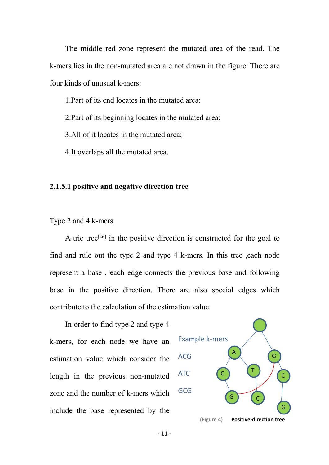The middle red zone represent the mutated area of the read. The k-mers lies in the non-mutated area are not drawn in the figure. There are four kinds of unusual k-mers:

1.Part of its end locates in the mutated area;

2.Part of its beginning locates in the mutated area;

3.All of it locates in the mutated area;

4.It overlaps all the mutated area.

## **2.1.5.1 positive and negative direction tree**

### Type 2 and 4 k-mers

A trie tree<sup>[26]</sup> in the positive direction is constructed for the goal to find and rule out the type 2 and type 4 k-mers. In this tree ,each node represent a base , each edge connects the previous base and following base in the positive direction. There are also special edges which contribute to the calculation of the estimation value.

In order to find type 2 and type 4 k-mers, for each node we have an estimation value which consider the ACG length in the previous non-mutated ATC zone and the number of k-mers which include the base represented by the

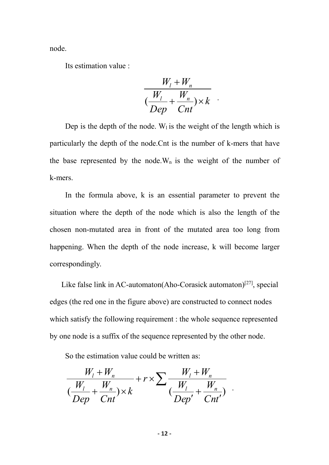node.<br>Its estimation value :

$$
\frac{W_1 + W_n}{\left(\frac{W_1}{Dep} + \frac{W_n}{Cnt}\right) \times k}
$$

.

.

Dep is the depth of the node. W<sub>1</sub> is the weight of the length which is particularly the depth of the node.Cnt is the number of k-mers that have the base represented by the node. $W_n$  is the weight of the number of k-mers.

In the formula above, k is an essential parameter to prevent the situation where the depth of the node which is also the length of the chosen non-mutated area in front of the mutated area too long from happening. When the depth of the node increase, k will become larger correspondingly.

Like false link in AC-automaton(Aho-Corasick automaton)<sup>[27]</sup>, special edges (the red one in the figure above) are constructed to connect nodes which satisfy the following requirement : the whole sequence represented by one node is a suffix of the sequence represented by the other node.

So the estimation value could be written as:

$$
\frac{W_l + W_n}{\left(\frac{W_l}{Dep} + \frac{W_n}{Cnt}\right) \times k} + r \times \sum \frac{W_l + W_n}{\left(\frac{W_l}{Dep'} + \frac{W_n}{Cnt'}\right)}
$$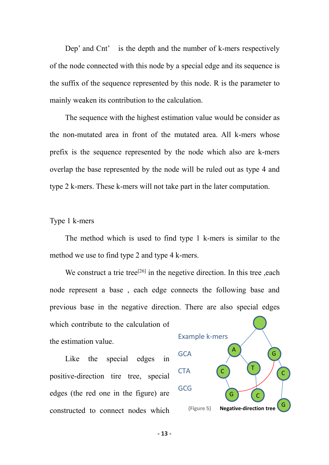Dep' and Cnt' is the depth and the number of k-mers respectively of the node connected with this node by a special edge and its sequence is the suffix of the sequence represented by this node. R is the parameter to mainly weaken its contribution to the calculation.

The sequence with the highest estimation value would be consider as the non-mutated area in front of the mutated area. All k-mers whose prefix is the sequence represented by the node which also are k-mers overlap the base represented by the node will be ruled out as type 4 and type 2 k-mers. These k-mers will not take part in the later computation.

Type 1 k-mers

The method which is used to find type 1 k-mers is similar to the method we use to find type 2 and type 4 k-mers.

We construct a trie tree<sup>[26]</sup> in the negetive direction. In this tree , each node represent a base , each edge connects the following base and previous base in the negative direction. There are also special edges

which contribute to the calculation of the estimation value.

Like the special edges in positive-direction tire tree, special edges (the red one in the figure) are constructed to connect nodes which



**- 13 -**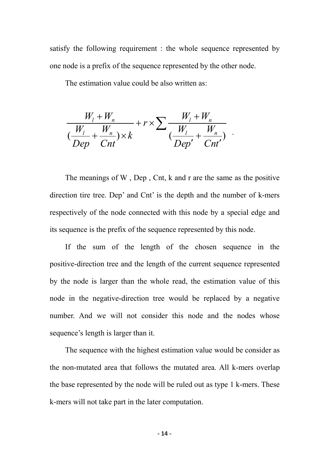satisfy the following requirement : the whole sequence represented by one node is a prefix of the sequence represented by the other node.

The estimation value could be also written as:

$$
\frac{W_l + W_n}{\left(\frac{W_l}{Dep} + \frac{W_n}{Cnt}\right) \times k} + r \times \sum \frac{W_l + W_n}{\left(\frac{W_l}{Dep'} + \frac{W_n}{Cnt'}\right)}.
$$

The meanings of W , Dep , Cnt, k and r are the same as the positive direction tire tree. Dep' and Cnt' is the depth and the number of k-mers respectively of the node connected with this node by a special edge and its sequence is the prefix of the sequence represented by this node.

.

If the sum of the length of the chosen sequence in the positive-direction tree and the length of the current sequence represented by the node is larger than the whole read, the estimation value of this node in the negative-direction tree would be replaced by a negative number. And we will not consider this node and the nodes whose sequence's length is larger than it.

The sequence with the highest estimation value would be consider as the non-mutated area that follows the mutated area. All k-mers overlap the base represented by the node will be ruled out as type 1 k-mers. These k-mers will not take part in the later computation.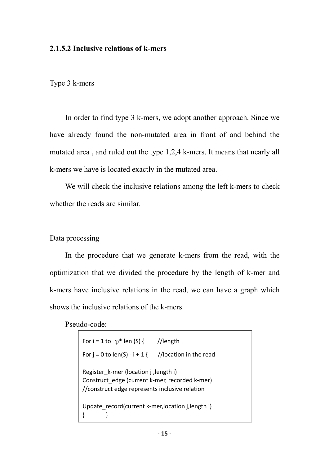### **2.1.5.2 Inclusive relations ofk-mers**

Type 3 k-mers

In order to find type 3 k-mers, we adopt another approach. Since we have already found the non-mutated area in front of and behind the mutated area , and ruled out the type 1,2,4 k-mers. It means that nearly all k-mers we have is located exactly in the mutated area.

We will check the inclusive relations among the left k-mers to check whether the reads are similar.

### Data processing

In the procedure that we generate k-mers from the read, with the optimization that we divided the procedure by the length of k-mer and k-mers have inclusive relations in the read, we can have a graph which shows the inclusive relations of the k-mers.

Pseudo-code:

| For i = 1 to $\varphi^*$ len (S) { //length                                                                                               |  |
|-------------------------------------------------------------------------------------------------------------------------------------------|--|
| For $i = 0$ to len(S) - $i + 1$ { //location in the read                                                                                  |  |
| Register k-mer (location j, length i)<br>Construct edge (current k-mer, recorded k-mer)<br>//construct edge represents inclusive relation |  |
| Update record(current k-mer, location j, length i)                                                                                        |  |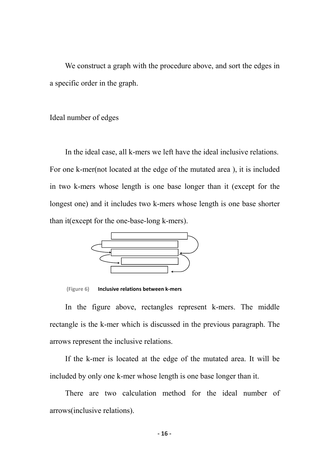We construct a graph with the procedure above, and sort the edges in a specific order in the graph.

Ideal number of edges

In the ideal case, all k-mers we left have the ideal inclusive relations. For one k-mer(not located at the edge of the mutated area ), it is included in two k-mers whose length is one base longer than it (except for the longest one) and it includes two k-mers whose length is one base shorter than it(except for the one-base-long k-mers).



**(Figure 6) Inclusive relations between k-mers**

In the figure above, rectangles represent k-mers. The middle rectangle is the k-mer which is discussed in the previous paragraph. The arrows represent the inclusive relations.

If the k-mer is located at the edge of the mutated area. It will be included by only one k-mer whose length is one base longer than it.

There are two calculation method for the ideal number of arrows(inclusive relations).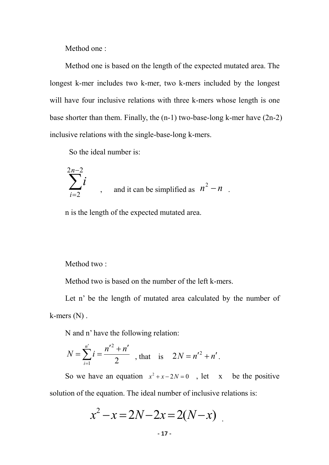Method one :

Method one is based on the length of the expected mutated area. The longest k-mer includes two k-mer, two k-mers included by the longest will have four inclusive relations with three k-mers whose length is one base shorter than them. Finally, the (n-1) two-base-long k-mer have (2n-2) inclusive relations with the single-base-long k-mers.

.

So the ideal number is:

$$
\sum_{i=2}^{2n-2} i
$$
, and it can be simplified as  $n^2 - n$ .

n is the length of the expected mutated area.

Method two :

Method two is based on the number of the left k-mers.

Let n' be the length of mutated area calculated by the number of k-mers (N) .

N and n' have the following relation:

$$
N = \sum_{i=1}^{n'} i = \frac{n'^2 + n'}{2}
$$
, that is  $2N = n'^2 + n'.$ 

So we have an equation  $x^2 + x - 2N = 0$ , let x be the positive solution of the equation. The ideal number of inclusive relations is:

$$
x^2 - x = 2N - 2x = 2(N - x)
$$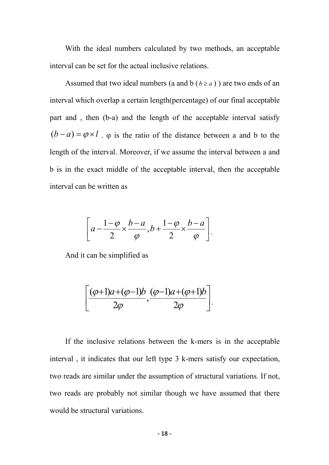With the ideal numbers calculated by two methods, an acceptable interval can be set for the actual inclusive relations.

Assumed that two ideal numbers (a and b  $(b \ge a)$ ) are two ends of an interval which overlap a certain length(percentage) of our final acceptable part and , then (b-a) and the length of the acceptable interval satisfy  $(b-a) = \varphi \times l$ .  $\varphi$  is the ratio of the distance between a and b to the length of the interval. Moreover, if we assume the interval between a and b is in the exact middle of the acceptable interval, then the acceptable interval can be written as

$$
\left[a-\frac{1-\varphi}{2}\times\frac{b-a}{\varphi},b+\frac{1-\varphi}{2}\times\frac{b-a}{\varphi}\right].
$$

And it can be simplified as

$$
\left[\frac{(\varphi+1)a+(\varphi-1)b}{2\varphi},\frac{(\varphi-1)a+(\varphi+1)b}{2\varphi}\right].
$$

If the inclusive relations between the k-mers is in the acceptable interval , it indicates that our left type 3 k-mers satisfy our expectation, two reads are similar under the assumption of structural variations. If not, two reads are probably not similar though we have assumed that there would be structural variations.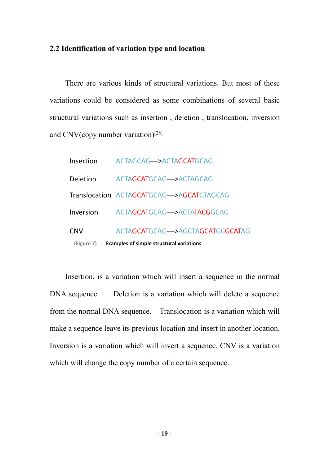# **2.2 Identification of variation type and location**

There are various kinds of structural variations. But most of these variations could be considered as some combinations of several basic structural variations such as insertion , deletion , translocation, inversion and CNV(copy number variation) [28]

|            | (Figure 7) Examples of simple structural variations |
|------------|-----------------------------------------------------|
| <b>CNV</b> | ACTAGCATGCAG->AGCTAGCATGCGCATAG                     |
|            | Inversion ACTAGCATGCAG->ACTATACGGCAG                |
|            | Translocation ACTAGCATGCAG->AGCATCTAGCAG            |
|            | Deletion ACTAGCATGCAG->ACTAGCAG                     |
|            | Insertion ACTAGCAG->ACTAGCATGCAG                    |

Insertion, is a variation which will insert a sequence in the normal DNA sequence. Deletion is a variation which will delete a sequence from the normal DNA sequence. Translocation is a variation which will make a sequence leave its previous location and insert in another location. Inversion is a variation which will invert a sequence. CNV is a variation which will change the copy number of a certain sequence.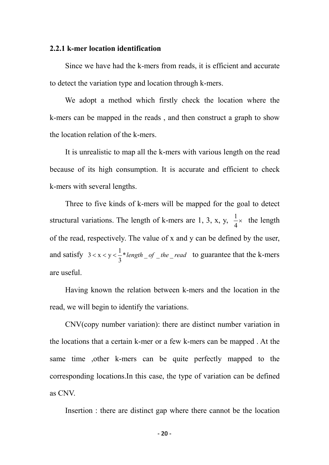#### **2.2.1 k-mer location identification**

Since we have had the k-mers from reads, it is efficient and accurate to detect the variation type and location through k-mers.

We adopt a method which firstly check the location where the k-mers can be mapped in the reads , and then construct a graph to show the location relation of the k-mers.

It is unrealistic to map all the k-mers with various length on the read because of its high consumption. It is accurate and efficient to check k-mers with several lengths.

Three to five kinds of k-mers will be mapped for the goal to detect structural variations. The length of k-mers are 1, 3, x, y,  $\frac{1}{4}$  the length 4  $\frac{1}{4}$  the length of the read, respectively. The value of x and y can be defined by the user, and satisfy  $3 < x < y < \frac{1}{2}$  *elength* \_ *of* \_ *the* \_ *read* to guarantee that the k-mers  $3^{10.6}$   $-7 - 1$   $-10$  $3 < x < y < \frac{1}{2}$ \* length \_of \_the \_read to guarantee that the k-mers are useful.

Having known the relation between k-mers and the location in the read, we will begin to identify the variations.

CNV(copy number variation): there are distinct number variation in the locations that a certain k-mer or a few k-mers can be mapped . At the same time ,other k-mers can be quite perfectly mapped to the corresponding locations.In this case, the type of variation can be defined as CNV.

Insertion : there are distinct gap where there cannot be the location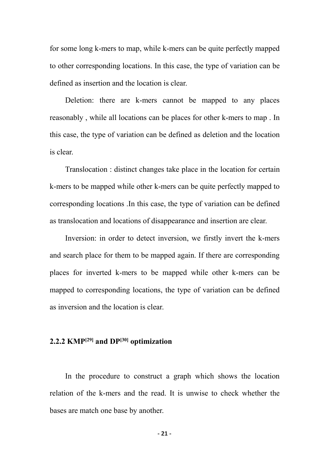for some long k-mers to map, while k-mers can be quite perfectly mapped to other corresponding locations. In this case, the type of variation can be defined as insertion and the location is clear.

Deletion: there are k-mers cannot be mapped to any places reasonably , while all locations can be places for other k-mers to map . In this case, the type of variation can be defined as deletion and the location is clear.

Translocation : distinct changes take place in the location for certain k-mers to be mapped while other k-mers can be quite perfectly mapped to corresponding locations .In this case, the type of variation can be defined as translocation and locations of disappearance and insertion are clear.

Inversion: in order to detect inversion, we firstly invert the k-mers and search place for them to be mapped again. If there are corresponding places for inverted k-mers to be mapped while other k-mers can be mapped to corresponding locations, the type of variation can be defined as inversion and the location is clear.

# **2.2.2 KMP [29] and DP [30] optimization**

In the procedure to construct a graph which shows the location relation of the k-mers and the read. It is unwise to check whether the bases are match one base by another.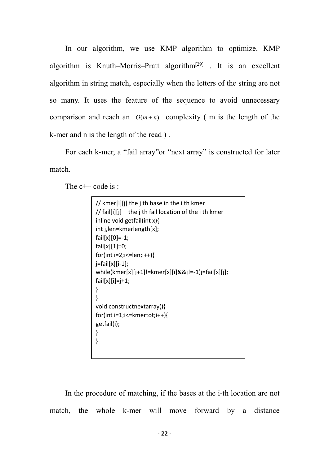In our algorithm, we use KMP algorithm to optimize. KMP algorithm is Knuth–Morris–Pratt algorithm<sup>[29]</sup> . It is an excellent algorithm in string match, especially when the letters of the string are not so many. It uses the feature of the sequence to avoid unnecessary comparison and reach an  $O(m+n)$  complexity (m is the length of the k-mer and n is the length of the read ) .

For each k-mer, a "fail array"or "next array" is constructed for later match.

The c<sup>++</sup> code is :

| // kmer[i][j] the j th base in the i th kmer          |  |
|-------------------------------------------------------|--|
| // fail[i][j] the j th fail location of the i th kmer |  |
| inline void getfail(int x){                           |  |
| int j, len=kmerlength[x];                             |  |
| $fail[x][0]=-1;$                                      |  |
| $fail[x][1]=0;$                                       |  |
| for(int i=2;i<=len;i++){                              |  |
| $j = \{ \text{fail}[x][i-1] \}$                       |  |
| while(kmer[x][j+1]!=kmer[x][i]&&j!=-1)j=fail[x][j];   |  |
| $fail[x][i]=j+1;$                                     |  |
|                                                       |  |
|                                                       |  |
| void constructnextarray(){                            |  |
| $for(int i=1; i<=k \text{mertot}; i++)$               |  |
| getfail(i);                                           |  |
|                                                       |  |
|                                                       |  |
|                                                       |  |

In the procedure of matching, if the bases at the i-th location are not match, the whole k-mer will move forward by a distance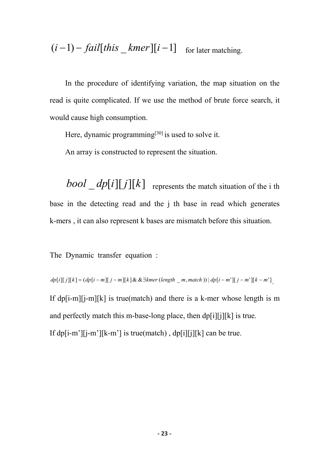$$
(i-1) - fail[this \_kmer][i-1]
$$
 for later matching.

In the procedure of identifying variation, the map situation on the read is quite complicated. If we use the method of brute force search, it would cause high consumption.

Here, dynamic programming<sup>[30]</sup> is used to solve it.

An array is constructed to represent the situation.

 $bool \_ dp[i][j][k]$  represents the match situation of the i th base in the detecting read and the j th base in read which generates k-mers , it can also represent k bases are mismatch before this situation.

The Dynamic transfer equation :

 $dp[i][j][k] = (dp[i-m][j-m][k] \&\& \exists kmer (length_m, match)) | dp[i-m'][j-m'][k-m']$ .

If  $dp[i-m][i-m][k]$  is true(match) and there is a k-mer whose length is m and perfectly match this m-base-long place, then dp[i][j][k] is true. If dp[i-m'][j-m'][k-m'] is true(match), dp[i][j][k] can be true.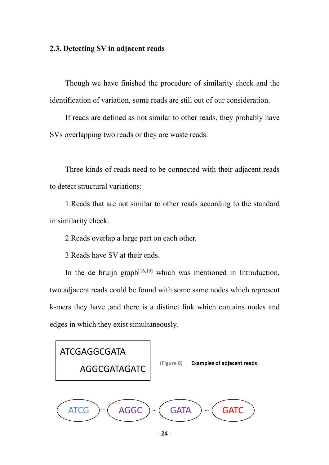# **2.3. Detecting SV in adjacent reads**

Though we have finished the procedure of similarity check and the identification of variation, some reads are still out of our consideration.

If reads are defined as not similar to other reads, they probably have SVs overlapping two reads or they are waste reads.

Three kinds of reads need to be connected with their adjacent reads to detect structural variations:

1.Reads that are not similar to other reads according to the standard in similarity check.

2.Reads overlap a large part on each other.

3.Reads have SV at their ends.

In the de bruijn graph<sup>[16,19]</sup> which was mentioned in Introduction, two adjacent reads could be found with some same nodes which represent k-mers they have ,and there is a distinct link which contains nodes and edges in which they exist simultaneously.



**- 24 -**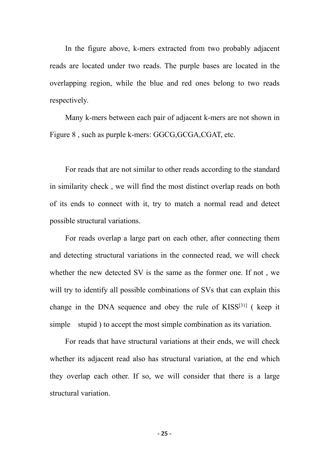In the figure above, k-mers extracted from two probably adjacent reads are located under two reads. The purple bases are located in the overlapping region, while the blue and red ones belong to two reads respectively.

Many k-mers between each pair of adjacent k-mers are not shown in Figure 8 , such as purple k-mers: GGCG,GCGA,CGAT, etc.

For reads that are not similar to other reads according to the standard in similarity check , we will find the most distinct overlap reads on both of its ends to connect with it, try to match a normal read and detect possible structural variations.

For reads overlap a large part on each other, after connecting them and detecting structural variations in the connected read, we will check whether the new detected SV is the same as the former one. If not, we will try to identify all possible combinations of SVs that can explain this change in the DNA sequence and obey the rule of KISS [31] ( keep it simple stupid ) to accept the most simple combination as its variation.

For reads that have structural variations at their ends, we will check whether its adjacent read also has structural variation, at the end which they overlap each other. If so, we will consider that there is a large structural variation.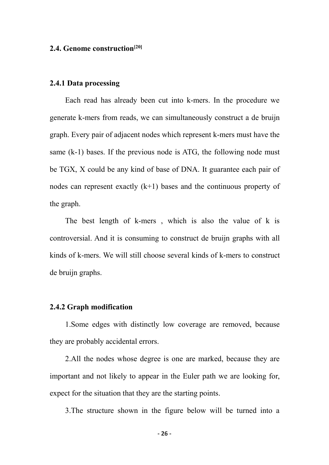# **2.4. Genome construction [20]**

## **2.4.1 Data processing**

Each read has already been cut into k-mers. In the procedure we generate k-mers from reads, we can simultaneously construct a de bruijn graph. Every pair of adjacent nodes which represent k-mers must have the same (k-1) bases. If the previous node is ATG, the following node must be TGX, X could be any kind of base of DNA. It guarantee each pair of nodes can represent exactly  $(k+1)$  bases and the continuous property of the graph.

The best length of k-mers , which is also the value of k is controversial. And it is consuming to construct de bruijn graphs with all kinds of k-mers. We will still choose several kinds of k-mers to construct de bruijn graphs.

### **2.4.2 Graph modification**

1.Some edges with distinctly low coverage are removed, because they are probably accidental errors.

2.All the nodes whose degree is one are marked, because they are important and not likely to appear in the Euler path we are looking for, expect for the situation that they are the starting points.

3.The structure shown in the figure below will be turned into a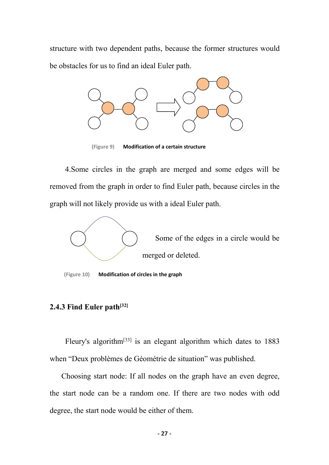structure with two dependent paths, because the former structures would be obstacles for us to find an ideal Euler path.



**(Figure 9) Modification of a certain structure**

4.Some circles in the graph are merged and some edges will be removed from the graph in order to find Euler path, because circles in the graph will not likely provide us with a ideal Euler path.



**(Figure 10) Modification of circles in the graph**

# **2.4.3 Find Euler path [32]**

Fleury's algorithm[33] is an elegant algorithm which dates to 1883 when "Deux problèmes de Géométrie de situation" was published.

Choosing start node: If all nodes on the graph have an even degree, the start node can be a random one. If there are two nodes with odd degree, the start node would be either of them.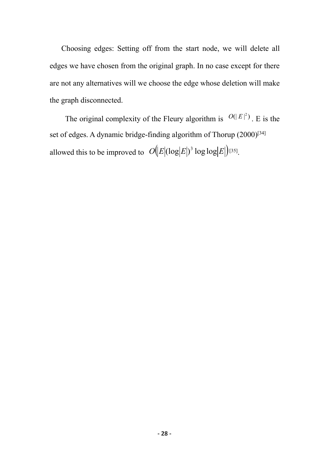Choosing edges: Setting off from the start node, we will delete all edges we have chosen from the original graph. In no case except for there are not any alternatives will we choose the edge whose deletion will make the graph disconnected.

The original complexity of the Fleury algorithm is  $O(|E|^2)$ . E is the set of edges. A dynamic bridge-finding algorithm of [Thorup](https://en.wikipedia.org/wiki/Eulerian_path) (2000) [34] allowed this to be improved to  $O(|E|(\log |E|)^3 \log \log |E|)^{[35]}$ .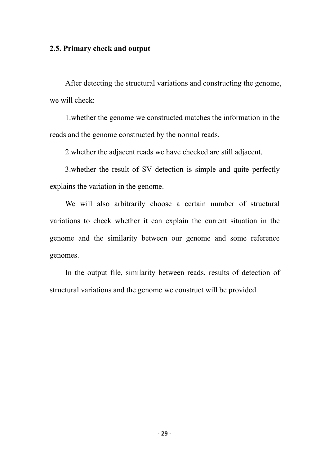# **2.5. Primary check and output**

After detecting the structural variations and constructing the genome,<br>we will check:

1.whether the genome we constructed matches the information in the reads and the genome constructed by the normal reads.

2.whether the adjacent reads we have checked are still adjacent.

3.whether the result of SV detection is simple and quite perfectly explains the variation in the genome.<br>We will also arbitrarily choose a certain number of structural

variations to check whether it can explain the current situation in the genome and the similarity between our genome and some reference genomes.

In the output file, similarity between reads, results of detection of structural variations and the genome we construct will be provided.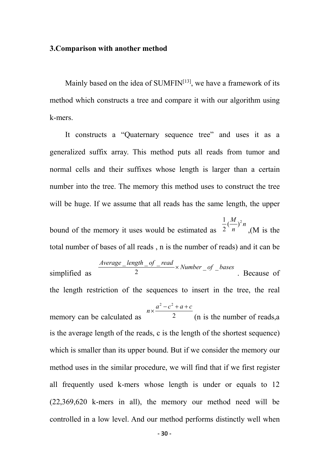#### **3.Comparison with another method**

Mainly based on the idea of SUMFIN<sup>[13]</sup>, we have a framework of its method which constructs a tree and compare it with our algorithm using k-mers.

It constructs a "Quaternary sequence tree" and uses it as a generalized suffix array. This method puts all reads from tumor and normal cells and their suffixes whose length is larger than a certain number into the tree. The memory this method uses to construct the tree will be huge. If we assume that all reads has the same length, the upper

bound of the memory it uses would be estimated as  $2 \nmid n$  (M is the *n*  $\frac{1}{2}(\frac{M}{n})^2 n$  (M is the ,(M is the total number of bases of all reads , n is the number of reads) and it can be

simplified as  $\frac{2}{3}$ *Average* <u>*length of \_read*</u>  $\times$  *Number \_of \_bases* 2 and  $\frac{1}{2}$  and  $\frac{1}{2}$  and  $\frac{1}{2}$  and  $\frac{1}{2}$  and  $\frac{1}{2}$  and  $\frac{1}{2}$  and  $\frac{1}{2}$  and  $\frac{1}{2}$  and  $\frac{1}{2}$  and  $\frac{1}{2}$  and  $\frac{1}{2}$  and  $\frac{1}{2}$  and  $\frac{1}{2}$  and  $\frac{1}{2}$  and  $\frac{1}{2}$  and  $\frac{1$  $\frac{\textit{length}\_\textit{of}\_\textit{read}}{\textit{of}\_\textit{number}}$   $\times$  Number of bases . Because of the length restriction of the sequences to insert in the tree, the real

memory can be calculated as  $\frac{2}{\pi}$  (n is the number of reads,  $n \times \frac{a^2 - c^2 + a + c}{2}$ (n is the number of reads,a is the average length of the reads, c is the length of the shortest sequence) which is smaller than its upper bound. But if we consider the memory our method uses in the similar procedure, we will find that if we first register all frequently used k-mers whose length is under or equals to 12 (22,369,620 k-mers in all), the memory our method need will be controlled in a low level. And our method performs distinctly well when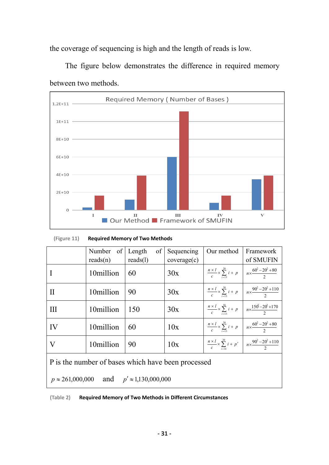the coverage of sequencing is high and the length of reads is low.

![](_page_34_Figure_1.jpeg)

The figure below demonstrates the difference in required memory

between two methods.

|             | Number | $\alpha$ f<br>$\blacksquare$ Lenoth     | $\alpha f$ | <b>Sequencing</b> | ∣ Our method | Framewor |
|-------------|--------|-----------------------------------------|------------|-------------------|--------------|----------|
| (Figure 11) |        | <b>Required Memory of Two Methods</b>   |            |                   |              |          |
|             | т      | п<br>■ Our Method ■ Framework of SMUFIN |            | Ш                 | IV           | v        |
| $\Omega$    |        |                                         |            |                   |              |          |
| $2E+10$     |        |                                         |            |                   |              |          |
| $4E + 10$   |        |                                         |            |                   |              |          |
|             |        |                                         |            |                   |              |          |

|                                                        | Number of<br>reads(n) | of<br>Length<br>reads(1) | Sequencing<br>coverage(c) | Our method                                                                                     | Framework<br>of SMUFIN                                                                                      |  |
|--------------------------------------------------------|-----------------------|--------------------------|---------------------------|------------------------------------------------------------------------------------------------|-------------------------------------------------------------------------------------------------------------|--|
|                                                        | 10million             | 60                       | 30x                       | $\frac{n \times l}{c} \times \sum_{n=1}^{20} i + p \quad n \times \frac{60^2 - 20^2 + 80}{2}$  |                                                                                                             |  |
| $\mathbf{I}$                                           | 10million             | 90                       | 30x                       |                                                                                                | $\frac{n \times l}{c} \times \sum_{i=12}^{30} i + p \quad \Big  \quad n \times \frac{90^2 - 20^2 + 110}{2}$ |  |
| Ш                                                      | 10million             | 150                      | 30x                       | $\frac{n \times l}{c} \times \sum_{i=1}^{50} i + p \quad n \times \frac{156 - 20^2 + 170}{2}$  |                                                                                                             |  |
| IV                                                     | 10million             | 60                       | 10x                       | $\frac{n \times l}{c} \times \sum_{i=13}^{30} i + p \quad n \times \frac{60^2 - 20^2 + 80}{2}$ |                                                                                                             |  |
| $\rm V$                                                | 10million             | 90                       | 10x                       |                                                                                                | $\frac{n \times l}{c} \times \sum_{n=1}^{30} i + p' \left[ n \times \frac{90^2 - 20^2 + 110}{2} \right]$    |  |
| P is the number of bases which have been processed     |                       |                          |                           |                                                                                                |                                                                                                             |  |
| $p \approx 261,000,000$ and $p' \approx 1,130,000,000$ |                       |                          |                           |                                                                                                |                                                                                                             |  |

![](_page_34_Figure_5.jpeg)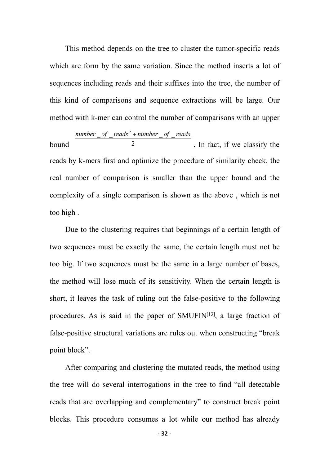This method depends on the tree to cluster the tumor-specific reads which are form by the same variation. Since the method inserts a lot of sequences including reads and their suffixes into the tree, the number of this kind of comparisons and sequence extractions will be large. Our method with k-mer can control the number of comparisons with an upper

bound 2 and 2 and 2 and 5 and 5 and 5 and 5 and 5 and 5 and 5 and 5 and 5 and 5 and 5 and 5 and 5 and 5 and 5 and 5 and 5 and 5 and 5 and 5 and 5 and 5 and 5 and 5 and 5 and 5 and 5 and 5 and 5 and 5 and 5 and 5 and 5 and number \_of \_reads<sup>2</sup> + number \_of \_reads . In fact, if we classify the reads by k-mers first and optimize the procedure of similarity check, the real number of comparison is smaller than the upper bound and the complexity of a single comparison is shown as the above , which is not too high .

Due to the clustering requires that beginnings of a certain length of two sequences must be exactly the same, the certain length must not be too big. If two sequences must be the same in a large number of bases, the method will lose much of its sensitivity. When the certain length is short, it leaves the task of ruling out the false-positive to the following procedures. As is said in the paper of SMUFIN $[13]$ , a large fraction of false-positive structural variations are rules out when constructing "break point block".

After comparing and clustering the mutated reads, the method using the tree will do several interrogations in the tree to find "all detectable reads that are overlapping and complementary" to construct break point blocks. This procedure consumes a lot while our method has already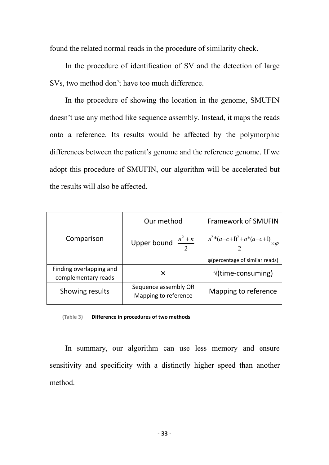found the related normal reads in the procedure of similarity check.

In the procedure of identification of SV and the detection of large SVs, two method don't have too much difference.

In the procedure of showing the location in the genome, SMUFIN doesn't use any method like sequence assembly. Instead, it maps the reads onto areference. Its results would be affected by the polymorphic differences between the patient's genome and the reference genome.If we adopt this procedure of SMUFIN, our algorithm will be accelerated but the results will also be affected.

|                                                | Our method                                   | <b>Framework of SMUFIN</b>                               |
|------------------------------------------------|----------------------------------------------|----------------------------------------------------------|
| Comparison                                     | Upper bound $\frac{n^2 + n}{2}$              | $\frac{n^{2}*(a-c+1)^{2}+n^{*}(a-c+1)}{2}\times \varphi$ |
|                                                |                                              | $\varphi$ (percentage of similar reads)                  |
| Finding overlapping and<br>complementary reads | X                                            | $\sqrt{\text{time-consuming}}$                           |
| Showing results                                | Sequence assembly OR<br>Mapping to reference | Mapping to reference                                     |

**(Table 3) Difference in procedures of two methods**

In summary, our algorithm can use less memory and ensure sensitivity and specificity with a distinctly higher speed than another method.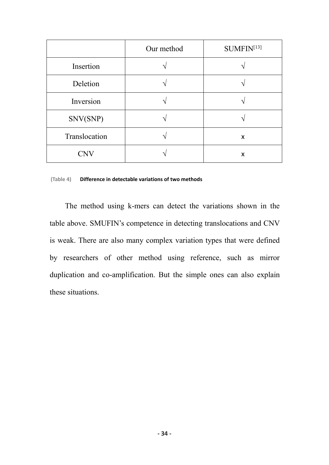|               | Our method | SUMFIN <sup>[13]</sup> |
|---------------|------------|------------------------|
| Insertion     |            |                        |
| Deletion      |            |                        |
| Inversion     |            |                        |
| SNV(SNP)      |            |                        |
| Translocation |            | X                      |
| <b>CNV</b>    |            | X                      |

#### **(Table 4) Difference in detectable variations of two methods**

The method using k-mers can detect the variations shown in the table above. SMUFIN's competence in detecting translocations and CNV is weak. There are also many complex variation types that were defined by researchers of other method using reference, such as mirror duplication and co-amplification. But the simple ones can also explain these situations.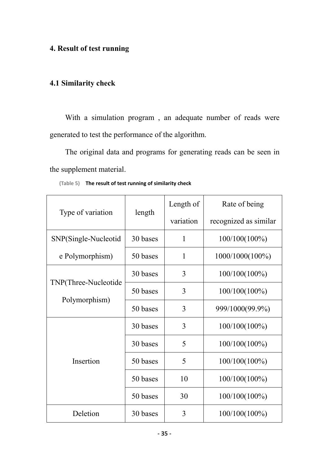# **4. Result of test running**

# **4.1 Similarity check**

With a simulation program , an adequate number of reads were generated to test the performance of the algorithm.

The original data and programs for generating reads can be seen in the supplement material.

|                      |          | Length of    | Rate of being         |
|----------------------|----------|--------------|-----------------------|
| Type of variation    | length   | variation    | recognized as similar |
| SNP(Single-Nucleotid | 30 bases | $\mathbf{1}$ | $100/100(100\%)$      |
| e Polymorphism)      | 50 bases | $\mathbf{1}$ | 1000/1000(100%)       |
|                      | 30 bases | 3            | $100/100(100\%)$      |
| TNP(Three-Nucleotide | 50 bases | 3            | $100/100(100\%)$      |
| Polymorphism)        | 50 bases | 3            | 999/1000(99.9%)       |
|                      | 30 bases | 3            | $100/100(100\%)$      |
|                      | 30 bases | 5            | $100/100(100\%)$      |
| Insertion            | 50 bases | 5            | $100/100(100\%)$      |
|                      | 50 bases | 10           | 100/100(100%)         |
|                      | 50 bases | 30           | $100/100(100\%)$      |
| Deletion             | 30 bases | 3            | 100/100(100%)         |

**(Table 5) The result of test running of similarity check**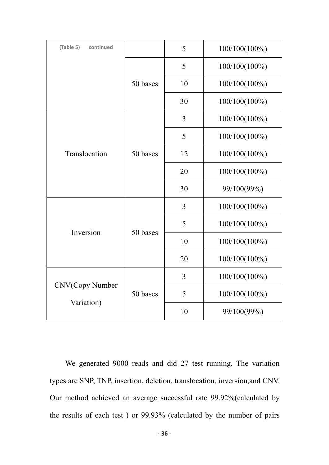| (Table 5)<br>continued        |          | 5  | 100/100(100%) |
|-------------------------------|----------|----|---------------|
|                               |          | 5  | 100/100(100%) |
|                               | 50 bases | 10 | 100/100(100%) |
|                               |          | 30 | 100/100(100%) |
|                               |          | 3  | 100/100(100%) |
|                               |          | 5  | 100/100(100%) |
| Translocation                 | 50 bases | 12 | 100/100(100%) |
|                               |          | 20 | 100/100(100%) |
|                               |          | 30 | 99/100(99%)   |
|                               | 50 bases | 3  | 100/100(100%) |
| Inversion                     |          | 5  | 100/100(100%) |
|                               |          | 10 | 100/100(100%) |
|                               |          | 20 | 100/100(100%) |
| CNV(Copy Number<br>Variation) |          | 3  | 100/100(100%) |
|                               | 50 bases | 5  | 100/100(100%) |
|                               |          | 10 | 99/100(99%)   |

We generated 9000 reads and did 27 test running. The variation types are SNP, TNP, insertion, deletion, translocation, inversion,and CNV. Our method achieved an average successful rate 99.92%(calculated by the results of each test ) or 99.93% (calculated by the number of pairs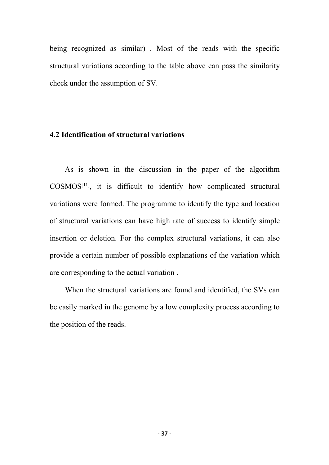being recognized as similar) . Most of the reads with the specific structural variations according to the table above can pass the similarity check under the assumption of SV.

# **4.2 Identification of structural variations**

As is shown in the discussion in the paper of the algorithm COSMOS [11], it is difficult to identify how complicated structural variations were formed. The programme to identify the type and location of structural variations can have high rate of success to identify simple insertion or deletion. For the complex structural variations, it can also provide a certain number of possible explanations of the variation which are corresponding to the actual variation .

When the structural variations are found and identified, the SVs can be easily marked in the genome by a low complexity process according to the position of the reads.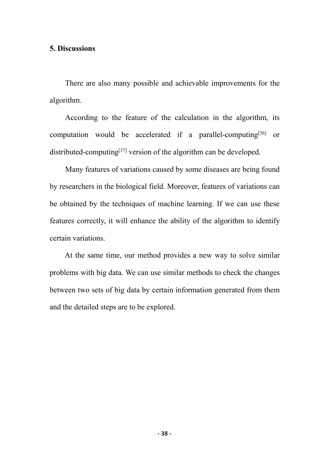#### **5. Discussions**

There are also many possible and achievable improvements for the algorithm.

According to the feature of the calculation in the algorithm, its computation would be accelerated if a parallel-computing [36] or distributed-computing [37] version of the algorithm can be developed.

Many features of variations caused by some diseases are being found by researchers in the biological field. Moreover, features of variations can be obtained by the techniques of machine learning. If we can use these features correctly, it will enhance the ability of the algorithm to identify certain variations.

At the same time, our method provides a new way to solve similar problems with big data. We can use similar methods to check the changes between two sets of big data by certain information generated from them and the detailed steps are to be explored.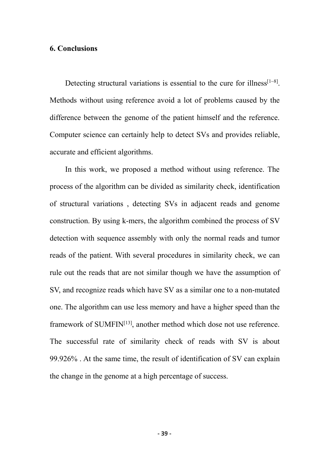### **6. Conclusions**

Detecting structural variations is essential to the cure for illness<sup>[1~8]</sup>. Methods without using reference avoid a lot of problems caused by the difference between the genome of the patient himself and the reference. Computer science can certainly help to detect SVs and provides reliable, accurate and efficient algorithms.

In this work, we proposed a method without using reference. The process of the algorithm can be divided as similarity check, identification of structural variations, detecting SVs in adjacent reads and genome construction. By using k-mers, the algorithm combined the process of SV detection with sequence assembly with only the normal reads and tumor reads of the patient. With several procedures in similarity check, we can rule out the reads that are not similar though we have the assumption of SV, and recognize reads which have SV as a similar one to a non-mutated one. The algorithm can use less memory and have a higher speed than the framework of SUMFIN<sup>[13]</sup>, another method which dose not use reference. The successful rate of similarity check of reads with SV is about 99.926% . At the same time, the result of identification of SV can explain the change in the genome at a high percentage of success.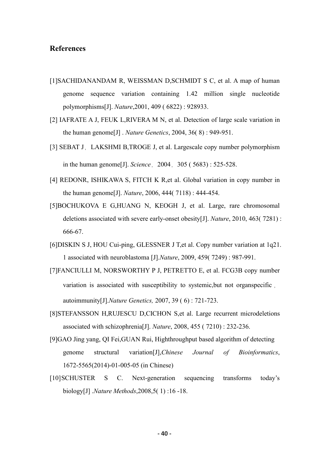### **References**

- [1]SACHIDANANDAM R, WEISSMAN D,SCHMIDT S C, et al. A map of human genome sequence variation containing 1.42 million single nucleotide polymorphisms[J]. *Nature*,2001, 409 ( 6822): 928933.
- [2] IAFRATE A J, FEUK L,RIVERA M N, et al. Detection of large scale variation in the human genome[J] . *Nature Genetics*, 2004, 36( 8) : 949-951.
- [3] SEBAT J, LAKSHMI B,TROGE J, et al. Largescale copy number polymorphism in the human genome[J]. *Science*,2004,305 ( 5683): 525-528.
- [4] REDONR, ISHIKAWA S, FITCH K R,et al. Global variation in copy number in the human genome[J].*Nature*, 2006, 444( 7118) : 444-454.
- [5]BOCHUKOVA E G,HUANG N, KEOGH J, et al. Large, rare chromosomal deletions associated with severe early-onset obesity[J]. *Nature*, 2010, 463( 7281) : 666-67.
- [6]DISKIN S J, HOU Cui-ping, GLESSNER J T,et al. Copy number variation at 1q21. 1 associated with neuroblastoma [J].*Nature*, 2009, 459( 7249) : 987-991.
- [7]FANCIULLI M, NORSWORTHY P J, PETRETTO E, et al. FCG3B copy number variation is associated with susceptibility to systemic,but not organspecific , autoimmunity[J].*Nature Genetics,* 2007, 39 ( 6) : 721-723.
- [8]STEFANSSON H,RUJESCU D,CICHON S,et al. Large recurrent microdeletions associated with schizophrenia[J]. *Nature*, 2008, 455 ( 7210): 232-236.
- [9]GAO Jing yang, QI Fei,GUAN Rui, Highthroughput based algorithm of detecting genome structural variation[J],*Chinese Journal of Bioinformatics*, 1672-5565(2014)-01-005-05 (in Chinese)
- [10]SCHUSTER S C. Next-generation sequencing transforms today's biology[J] .*Nature Methods*,2008,5( 1) :16 -18.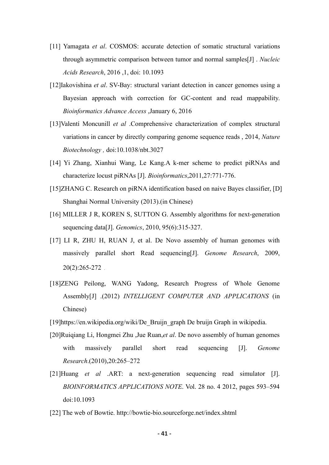- [11] Yamagata *et al*. COSMOS: accurate detection of somatic structural variations through asymmetric comparison between tumor and normal samples[J] . *Nucleic Acids Research*, 2016 ,1, doi: 10.1093
- [12]Iakovishina *et al*. SV-Bay: structural variant detection in cancer genomes using a Bayesian approach with correction for GC-content and read mappability. *Bioinformatics Advance Access* ,January 6, 2016
- [13]Valentí Moncunill *et al* .Comprehensive characterization of complex structural variations in cancer by directly comparing genome sequence reads , 2014, *Nature Biotechnology ,* doi:10.1038/nbt.3027
- [14] Yi Zhang, Xianhui Wang, Le Kang.A k-mer scheme to predict piRNAs and characterize locust piRNAs [J]. *Bioinformatics*,2011,27:771-776.
- [15]ZHANG C. Research on piRNA identification based on naive Bayes classifier, [D] Shanghai Normal University (2013).(in Chinese)
- [16] MILLER J R, KOREN S, SUTTON G. Assembly algorithms for next-generation sequencing data[J]. *Genomics*, 2010, 95(6):315-327.
- [17] LI R, ZHU H, RUAN J, et al. De Novo assembly of human genomes with massively parallel short Read sequencing[J]. *Genome Research*, 2009, 20(2):265-272.
- [18]ZENG Peilong, WANG Yadong, Research Progress of Whole Genome Assembly[J] .(2012) *INTELLIGENT COMPUTER AND APPLICATIONS* (in Chinese)
- [19]https://en.wikipedia.org/wiki/De\_Bruijn\_graph De bruijn Graph in wikipedia.
- [20]Ruiqiang Li, Hongmei Zhu ,Jue Ruan,*et al*. De novo assembly of human genomes with massively parallel short read sequencing [J]. *Genome Research*.(2010),20:265–272
- [21]Huang *et al* .ART: a next-generation sequencing read simulator [J]. *BIOINFORMATICS APPLICATIONS NOTE*. Vol. 28 no. 4 2012, pages 593–594 doi:10.1093
- [22] The web of Bowtie. http://bowtie-bio.sourceforge.net/index.shtml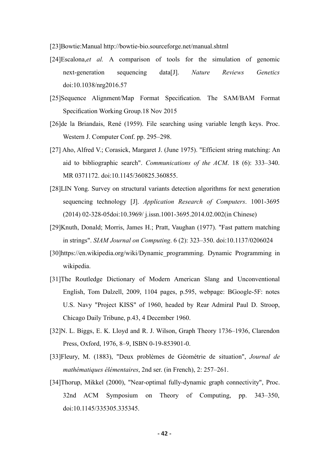- [23]Bowtie:Manual <http://bowtie-bio.sourceforge.net/manual.shtml>
- [24]Escalona,*et al.* A comparison of tools for the simulation of genomic next-generation sequencing data[J]. *Nature Reviews Genetics* doi:10.1038/nrg2016.57
- [25]Sequence Alignment/Map Format Specification. The SAM/BAM Format Specification Working Group.18 Nov 2015
- [26]de la Briandais, René (1959). File searching using variable length keys. Proc. Western J. Computer Conf. pp. 295–298.
- [27] Aho, Alfred V.; Corasick, Margaret J. (June 1975). "Efficient string matching: An aid to bibliographic search".*Communications of the ACM*. 18 (6): 333–340. MR 0371172. doi:10.1145/360825.360855.
- [28]LIN Yong. Survey on structural variants detection algorithms for next generation sequencing technology [J]. *Application Research of Computers*. 1001-3695 (2014) 02-328-05doi:10.3969/ j.issn.1001-3695.2014.02.002(in Chinese)
- [29]Knuth, Donald; Morris, James H.; Pratt, Vaughan (1977). "Fast pattern matching in strings". *SIAM Journal on Computing*. 6 (2): 323–350. doi:10.1137/0206024
- [30]https://en.wikipedia.org/wiki/Dynamic\_programming. Dynamic Programming in wikipedia.
- [31]The Routledge Dictionary of Modern American Slang and Unconventional English, Tom Dalzell, 2009, 1104 pages, p.595, webpage: BGoogle-5F: notes U.S. Navy "Project KISS" of 1960, headed by Rear Admiral Paul D. Stroop, Chicago Daily Tribune, p.43, 4 December 1960.
- [32]N. L. Biggs, E. K. Lloyd and R. J. Wilson, Graph Theory 1736–1936, Clarendon Press, Oxford, 1976, 8–9, ISBN 0-19-853901-0.
- [33]Fleury, M. (1883), "Deux problèmes de Géométrie de situation", *Journal de mathématiques élémentaires*, 2nd ser. (in French), 2: 257–261.
- [34]Thorup, Mikkel (2000), "Near-optimal fully-dynamic graph connectivity", Proc. 32nd ACM Symposium on Theory of Computing, pp. 343–350, doi:10.1145/335305.335345.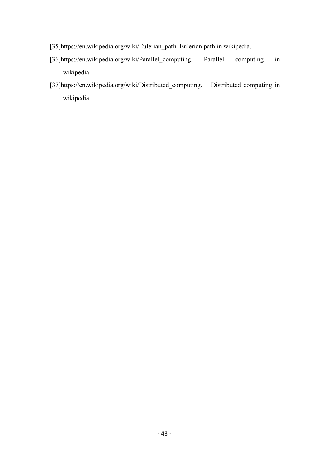- [35]https://en.wikipedia.org/wiki/Eulerian\_path. Eulerian path in wikipedia.
- [36]https://en.wikipedia.org/wiki/Parallel\_computing. Parallel computing in wikipedia.
- [37]https://en.wikipedia.org/wiki/Distributed\_computing. Distributed computing in wikipedia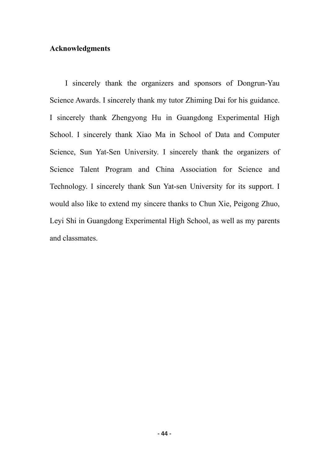## **Acknowledgments**

I sincerely thank the organizers and sponsors of Dongrun-Yau Science Awards. I sincerely thank my tutor Zhiming Dai for his guidance. I sincerely thank Zhengyong Hu in Guangdong Experimental High School. I sincerely thank Xiao Ma in School of Data and Computer Science, Sun Yat-Sen University. I sincerely thank the organizers of Science Talent Program and China Association for Science and Technology. I sincerely thank Sun Yat-sen University for its support. I would also like to extend my sincere thanks to Chun Xie, Peigong Zhuo, Leyi Shi in Guangdong Experimental High School, as well as my parents and classmates.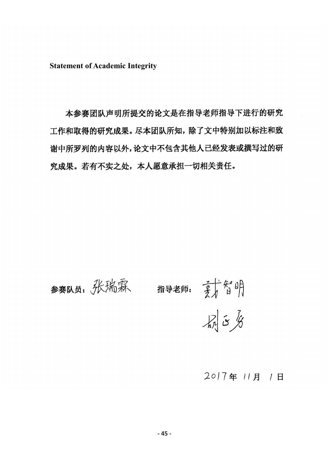**Statement of Academic Integrity**

本参赛团队声明所提交的论文是在指导老师指导下进行的研究 工作和取得的研究成果。尽本团队所知,除了文中特别加以标注和致 谢中所罗列的内容以外,论文中不包含其他人已经发表或撰写过的研 究成果。若有不实之处,本人愿意承担一切相关责任。

![](_page_48_Figure_2.jpeg)

# 2017年 11月 1日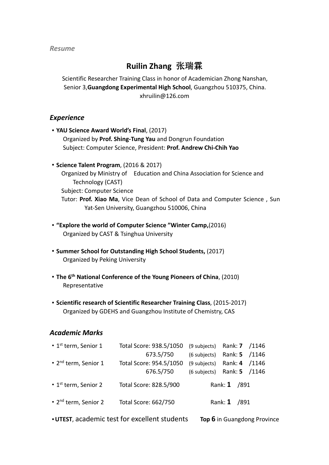*Resume*

# **Ruilin Zhang** 张瑞霖

Scientific Researcher Training Class in honor of Academician Zhong Nanshan, Senior 3,**Guangdong Experimental High School**, Guangzhou 510375, China. xhruilin@126.com

### *Experience*

- ·**YAU Science Award World's Final**, (2017) Organized by **Prof. Shing-Tung Yau** and Dongrun Foundation Subject: Computer Science, President: **Prof. Andrew Chi-Chih Yao**
- ·**Science Talent Program**, (2016 & 2017)

Organized by Ministry of Education and China Association for Science and Technology (CAST) Subject: Computer Science Tutor: **Prof. Xiao Ma**, Vice Dean of School of Data and Computer Science , Sun Yat-Sen University, Guangzhou 510006, China

- ·**"Explore the world of Computer Science "Winter Camp,**(2016) Organized by CAST & Tsinghua University
- ·**Summer School for Outstanding High School Students,** (2017) Organized by Peking University
- ·**The 6 th National Conference of the Young Pioneers of China**, (2010) Representative
- ·**Scientific research of Scientific Researcher Training Class**, (2015-2017) Organized by GDEHS and Guangzhou Institute of Chemistry, CAS

# *Academic Marks*

| $\cdot$ 1 <sup>st</sup> term, Senior 1 | Total Score: 938.5/1050 | Rank: <b>7</b> /1146<br>(9 subjects) |  |
|----------------------------------------|-------------------------|--------------------------------------|--|
|                                        | 673.5/750               | Rank: 5 /1146<br>(6 subjects)        |  |
| • 2 <sup>nd</sup> term, Senior 1       | Total Score: 954.5/1050 | Rank: 4 /1146<br>(9 subjects)        |  |
|                                        | 676.5/750               | Rank: 5 /1146<br>(6 subjects)        |  |
| $\cdot$ 1 <sup>st</sup> term, Senior 2 | Total Score: 828.5/900  | Rank: 1 /891                         |  |
| $\cdot$ 2 <sup>nd</sup> term, Senior 2 | Total Score: 662/750    | Rank: 1 /891                         |  |
|                                        |                         |                                      |  |

·**UTEST**, academic test for excellent students **Top 6** in Guangdong Province